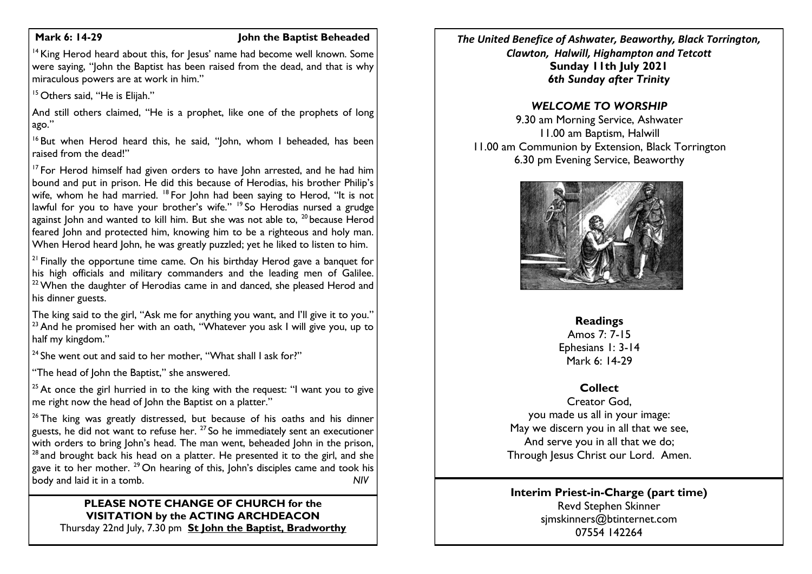#### **Mark 6: 14-29 John the Baptist Beheaded**

 $14$  King Herod heard about this, for Jesus' name had become well known. Some were saying, "John the Baptist has been raised from the dead, and that is why miraculous powers are at work in him."

<sup>15</sup> Others said, "He is Elijah."

And still others claimed. "He is a prophet, like one of the prophets of long ago."

<sup>16</sup> But when Herod heard this, he said, "John, whom I beheaded, has been raised from the dead!"

<sup>17</sup> For Herod himself had given orders to have John arrested, and he had him bound and put in prison. He did this because of Herodias, his brother Philip's wife, whom he had married. <sup>18</sup> For John had been saying to Herod, "It is not lawful for you to have your brother's wife." <sup>19</sup> So Herodias nursed a grudge against John and wanted to kill him. But she was not able to,  $^{20}$  because Herod feared John and protected him, knowing him to be a righteous and holy man. When Herod heard John, he was greatly puzzled; yet he liked to listen to him.

 $21$  Finally the opportune time came. On his birthday Herod gave a banquet for his high officials and military commanders and the leading men of Galilee.  $22$  When the daughter of Herodias came in and danced, she pleased Herod and his dinner guests.

The king said to the girl, "Ask me for anything you want, and I'll give it to you." <sup>23</sup> And he promised her with an oath, "Whatever you ask I will give you, up to half my kingdom."

 $24$  She went out and said to her mother, "What shall I ask for?"

"The head of John the Baptist," she answered.

<sup>25</sup> At once the girl hurried in to the king with the request: "I want you to give me right now the head of John the Baptist on a platter."

 $26$  The king was greatly distressed, but because of his oaths and his dinner guests, he did not want to refuse her.  $27$  So he immediately sent an executioner with orders to bring John's head. The man went, beheaded John in the prison,  $28$  and brought back his head on a platter. He presented it to the girl, and she gave it to her mother. <sup>29</sup> On hearing of this, John's disciples came and took his body and laid it in a tomb. *NIV*

#### **PLEASE NOTE CHANGE OF CHURCH for the VISITATION by the ACTING ARCHDEACON** Thursday 22nd July, 7.30 pm **St John the Baptist, Bradworthy**

*The United Benefice of Ashwater, Beaworthy, Black Torrington, Clawton, Halwill, Highampton and Tetcott* **Sunday 11th July 2021** *6th Sunday after Trinity*

## *WELCOME TO WORSHIP*

9.30 am Morning Service, Ashwater 11.00 am Baptism, Halwill 11.00 am Communion by Extension, Black Torrington 6.30 pm Evening Service, Beaworthy



#### **Readings**

Amos 7: 7-15 Ephesians 1: 3-14 Mark 6: 14-29

# **Collect**

Creator God, you made us all in your image: May we discern you in all that we see, And serve you in all that we do; Through Jesus Christ our Lord. Amen.

## **Interim Priest-in-Charge (part time)** Revd Stephen Skinner [sjmskinners@btinternet.com](mailto:sjmskinners@btinternet.com) 07554 142264